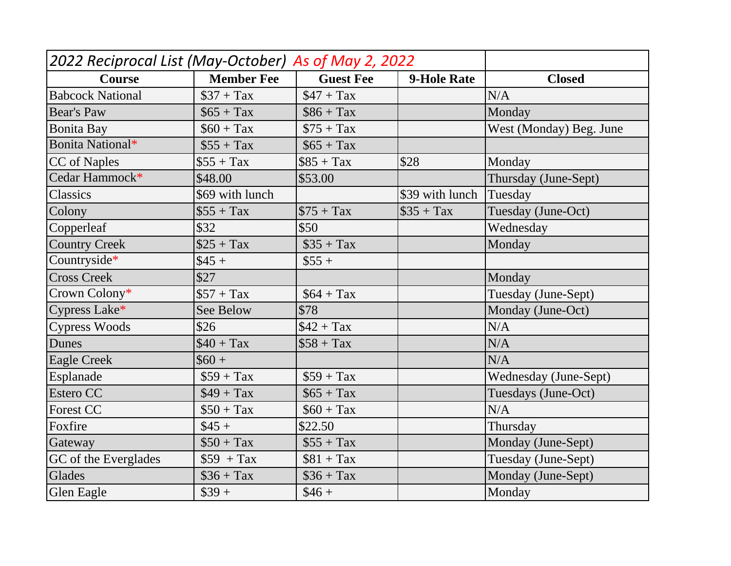| <b>Course</b>           | <b>Member Fee</b> | <b>Guest Fee</b> | <b>9-Hole Rate</b> | <b>Closed</b>           |  |
|-------------------------|-------------------|------------------|--------------------|-------------------------|--|
| <b>Babcock National</b> | $\$37 + Tax$      | $$47 + Tax$      |                    | N/A                     |  |
| <b>Bear's Paw</b>       | $$65 + Tax$       | $$86 + Tax$      |                    | Monday                  |  |
| <b>Bonita Bay</b>       | $$60 + Tax$       | $$75 + Tax$      |                    | West (Monday) Beg. June |  |
| Bonita National*        | $\$55 + Tax$      | $$65 + Tax$      |                    |                         |  |
| CC of Naples            | $$55 + Tax$       | $$85 + Tax$      | \$28               | Monday                  |  |
| Cedar Hammock*          | \$48.00           | \$53.00          |                    | Thursday (June-Sept)    |  |
| Classics                | \$69 with lunch   |                  | \$39 with lunch    | Tuesday                 |  |
| Colony                  | $$55 + Tax$       | $\$75 + Tax$     | $\$35 + Tax$       | Tuesday (June-Oct)      |  |
| Copperleaf              | \$32              | \$50             |                    | Wednesday               |  |
| <b>Country Creek</b>    | $$25 + Tax$       | $\$35 + Tax$     |                    | Monday                  |  |
| Countryside*            | $\$45 +$          | $$55 +$          |                    |                         |  |
| <b>Cross Creek</b>      | \$27              |                  |                    | Monday                  |  |
| Crown Colony*           | $$57 + Tax$       | $$64 + Tax$      |                    | Tuesday (June-Sept)     |  |
| Cypress Lake*           | <b>See Below</b>  | \$78             |                    | Monday (June-Oct)       |  |
| <b>Cypress Woods</b>    | \$26              | $$42 + Tax$      |                    | N/A                     |  |
| Dunes                   | $$40 + Tax$       | $$58 + Tax$      |                    | N/A                     |  |
| <b>Eagle Creek</b>      | $$60 +$           |                  |                    | N/A                     |  |
| Esplanade               | $$59 + Tax$       | $$59 + Tax$      |                    | Wednesday (June-Sept)   |  |
| Estero CC               | $$49 + Tax$       | $$65 + Tax$      |                    | Tuesdays (June-Oct)     |  |
| <b>Forest CC</b>        | $$50 + Tax$       | $$60 + Tax$      |                    | N/A                     |  |
| Foxfire                 | $$45 +$           | \$22.50          |                    | Thursday                |  |
| Gateway                 | $$50 + Tax$       | $$55 + Tax$      |                    | Monday (June-Sept)      |  |
| GC of the Everglades    | $$59 + Tax$       | $$81 + Tax$      |                    | Tuesday (June-Sept)     |  |
| Glades                  | $\$36 + Tax$      | $\$36 + Tax$     |                    | Monday (June-Sept)      |  |
| Glen Eagle              | $$39 +$           | $$46 +$          |                    | Monday                  |  |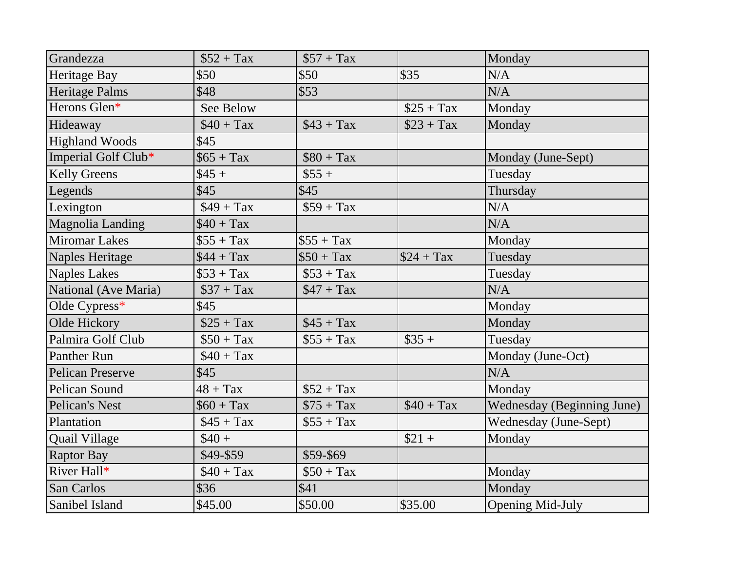| Grandezza               | $$52 + Tax$  | $$57 + Tax$  |             | Monday                     |  |
|-------------------------|--------------|--------------|-------------|----------------------------|--|
| Heritage Bay            | \$50         | \$50         | \$35        | N/A                        |  |
| Heritage Palms          | \$48         | \$53         |             | N/A                        |  |
| Herons Glen*            | See Below    |              | $$25 + Tax$ | Monday                     |  |
| Hideaway                | $$40 + Tax$  | $$43 + Tax$  | $$23 + Tax$ | Monday                     |  |
| <b>Highland Woods</b>   | \$45         |              |             |                            |  |
| Imperial Golf Club*     | $$65 + Tax$  | $$80 + Tax$  |             | Monday (June-Sept)         |  |
| <b>Kelly Greens</b>     | $$45 +$      | $$55 +$      |             | Tuesday                    |  |
| Legends                 | \$45         | \$45         |             | Thursday                   |  |
| Lexington               | $$49 + Tax$  | $$59 + Tax$  |             | N/A                        |  |
| Magnolia Landing        | $$40 + Tax$  |              |             | N/A                        |  |
| <b>Miromar Lakes</b>    | $$55 + Tax$  | $$55 + Tax$  |             | Monday                     |  |
| Naples Heritage         | $$44 + Tax$  | $$50 + Tax$  | $$24 + Tax$ | Tuesday                    |  |
| <b>Naples Lakes</b>     | $\$53 + Tax$ | $\$53 + Tax$ |             | Tuesday                    |  |
| National (Ave Maria)    | $$37 + Tax$  | $$47 + Tax$  |             | N/A                        |  |
| Olde Cypress*           | \$45         |              |             | Monday                     |  |
| Olde Hickory            | $$25 + Tax$  | $$45 + Tax$  |             | Monday                     |  |
| Palmira Golf Club       | $$50 + Tax$  | $$55 + Tax$  | $$35 +$     | Tuesday                    |  |
| <b>Panther Run</b>      | $$40 + Tax$  |              |             | Monday (June-Oct)          |  |
| <b>Pelican Preserve</b> | \$45         |              |             | N/A                        |  |
| Pelican Sound           | $48 + Tax$   | $$52 + Tax$  |             | Monday                     |  |
| Pelican's Nest          | $$60 + Tax$  | $$75 + Tax$  | $$40 + Tax$ | Wednesday (Beginning June) |  |
| Plantation              | $$45 + Tax$  | $$55 + Tax$  |             | Wednesday (June-Sept)      |  |
| Quail Village           | $$40 +$      |              | $$21 +$     | Monday                     |  |
| <b>Raptor Bay</b>       | \$49-\$59    | \$59-\$69    |             |                            |  |
| River Hall*             | $$40 + Tax$  | $$50 + Tax$  |             | Monday                     |  |
| San Carlos              | \$36         | \$41         |             | Monday                     |  |
| Sanibel Island          | \$45.00      | \$50.00      | \$35.00     | <b>Opening Mid-July</b>    |  |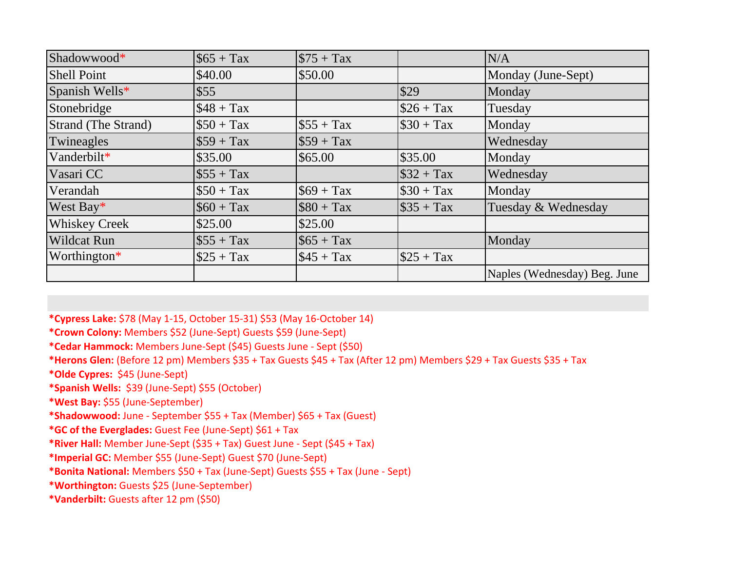| Shadowwood*                | $\$65 + Tax$ | $$75 + Tax$  |              | N/A                          |
|----------------------------|--------------|--------------|--------------|------------------------------|
| <b>Shell Point</b>         | \$40.00      | \$50.00      |              | Monday (June-Sept)           |
| Spanish Wells*             | \$55         |              | \$29         | Monday                       |
| Stonebridge                | $$48 + Tax$  |              | $\$26 + Tax$ | Tuesday                      |
| <b>Strand (The Strand)</b> | $$50 + Tax$  | $$55 + Tax$  | $\$30 + Tax$ | Monday                       |
| Twineagles                 | $$59 + Tax$  | $$59 + Tax$  |              | Wednesday                    |
| Vanderbilt*                | \$35.00      | \$65.00      | \$35.00      | Monday                       |
| Vasari CC                  | $\$55 + Tax$ |              | $\$32 + Tax$ | Wednesday                    |
| Verandah                   | $$50 + Tax$  | $$69 + Tax$  | $\$30 + Tax$ | Monday                       |
| West Bay*                  | $\$60 + Tax$ | $$80 + Tax$  | $\$35 + Tax$ | Tuesday & Wednesday          |
| <b>Whiskey Creek</b>       | \$25.00      | \$25.00      |              |                              |
| <b>Wildcat Run</b>         | $\$55 + Tax$ | $\$65 + Tax$ |              | Monday                       |
| Worthington*               | $$25 + Tax$  | $$45 + Tax$  | $\$25 + Tax$ |                              |
|                            |              |              |              | Naples (Wednesday) Beg. June |

**\*Cypress Lake:** \$78 (May 1-15, October 15-31) \$53 (May 16-October 14)

**\*Crown Colony:** Members \$52 (June-Sept) Guests \$59 (June-Sept)

**\*Cedar Hammock:** Members June-Sept (\$45) Guests June - Sept (\$50)

**\*Herons Glen:** (Before 12 pm) Members \$35 + Tax Guests \$45 + Tax (After 12 pm) Members \$29 + Tax Guests \$35 + Tax

**\*Olde Cypres:** \$45 (June-Sept)

**\*Spanish Wells:** \$39 (June-Sept) \$55 (October)

**\*West Bay:** \$55 (June-September)

**\*Shadowwood:** June - September \$55 + Tax (Member) \$65 + Tax (Guest)

**\*GC of the Everglades:** Guest Fee (June-Sept) \$61 + Tax

**\*River Hall:** Member June-Sept (\$35 + Tax) Guest June - Sept (\$45 + Tax)

**\*Imperial GC:** Member \$55 (June-Sept) Guest \$70 (June-Sept)

**\*Bonita National:** Members \$50 + Tax (June-Sept) Guests \$55 + Tax (June - Sept)

**\*Worthington:** Guests \$25 (June-September)

**\*Vanderbilt:** Guests after 12 pm (\$50)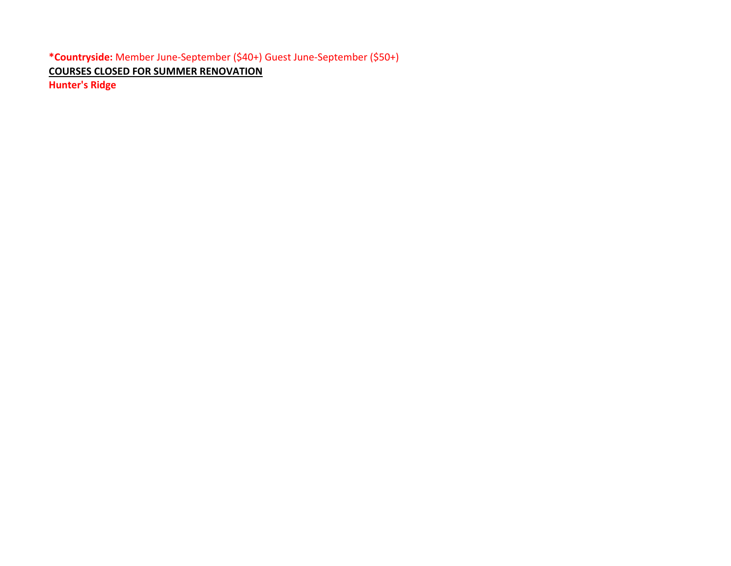**\*Countryside:** Member June-September (\$40+) Guest June-September (\$50+) **COURSES CLOSED FOR SUMMER RENOVATION Hunter's Ridge**